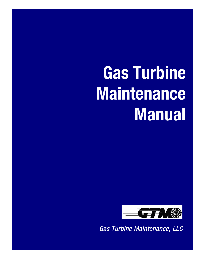# **Gas Turbine Maintenance Manual**



*Gas Turbine Maintenance, LLC*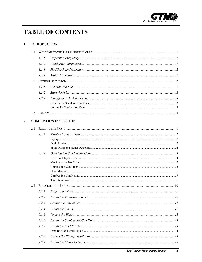

# **TABLE OF CONTENTS**

#### $\mathbf{1}$ **INTRODUCTION**

 $\mathbf{2}$ 

| 1.1 |       |                              |  |
|-----|-------|------------------------------|--|
|     | 1.1.1 |                              |  |
|     | 1.1.2 |                              |  |
|     | 1.1.3 |                              |  |
|     | 1.1.4 |                              |  |
| 1.2 |       |                              |  |
|     | 1.2.1 |                              |  |
|     | 1.2.2 |                              |  |
|     | 1.2.3 |                              |  |
|     |       |                              |  |
|     |       |                              |  |
| 1.3 |       |                              |  |
|     |       | <b>COMBUSTION INSPECTION</b> |  |
| 2.1 |       |                              |  |
|     | 2.1.1 |                              |  |
|     |       |                              |  |
|     |       |                              |  |
|     | 2.1.2 |                              |  |
|     |       |                              |  |
|     |       |                              |  |
|     |       |                              |  |
|     |       |                              |  |
|     |       |                              |  |
| 2.2 |       |                              |  |
|     | 2.2.1 |                              |  |
|     | 2.2.2 |                              |  |
|     | 2.2.3 |                              |  |
|     | 2.2.4 |                              |  |
|     | 2.2.5 |                              |  |
|     | 2.2.6 |                              |  |
|     | 2.2.7 |                              |  |
|     |       |                              |  |
|     | 2.2.8 |                              |  |
|     | 2.2.9 |                              |  |
|     |       |                              |  |

 $\overline{\mathbf{1}}$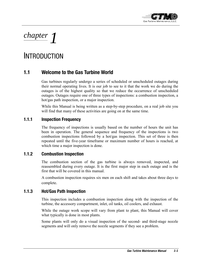

# *chapter 1*

# **INTRODUCTION**

# **1.1 Welcome to the Gas Turbine World**

Gas turbines regularly undergo a series of scheduled or unscheduled outages during their normal operating lives. It is our job to see to it that the work we do during the outages is of the highest quality so that we reduce the occurrence of unscheduled outages. Outages require one of three types of inspections: a combustion inspection, a hot/gas path inspection, or a major inspection.

While this Manual is being written as a step-by-step procedure, on a real job site you will find that many of these activities are going on at the same time.

# **1.1.1 Inspection Frequency**

The frequency of inspections is usually based on the number of hours the unit has been in operation. The general sequence and frequency of the inspections is two combustion inspections followed by a hot/gas inspection. This set of three is then repeated until the five-year timeframe or maximum number of hours is reached, at which time a major inspection is done.

# **1.1.2 Combustion Inspection**

The combustion section of the gas turbine is always removed, inspected, and reassembled during every outage. It is the first major step in each outage and is the first that will be covered in this manual.

A combustion inspection requires six men on each shift and takes about three days to complete.

# **1.1.3 Hot/Gas Path Inspection**

This inspection includes a combustion inspection along with the inspection of the turbine, the accessory compartment, inlet, oil tanks, oil coolers, and exhaust.

While the outage work scope will vary from plant to plant, this Manual will cover what typically is done in most plants.

Some plants will only do a visual inspection of the second- and third-stage nozzle segments and will only remove the nozzle segments if they see a problem.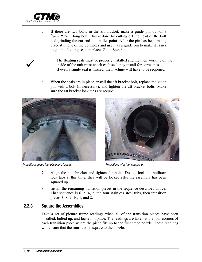

5. If there are two bolts in the aft bracket, make a guide pin out of a  $5/8$ -in. x 2-in. long bolt. This is done by cutting off the head of the bolt and grinding the cut end to a bullet point. After the pin has been made, place it in one of the boltholes and use it as a guide pin to make it easier to get the floating seals in place. Go to Step 6.

The floating seals must be properly installed and the men working on the inside of the unit must check each seal they install for correctness.<br>If even a single seal is missed, the machine will have to be reopened. inside of the unit must check each seal they install for correctness.

> 6. When the seals are in place, install the aft bracket bolt, replace the guide pin with a bolt (if necessary), and tighten the aft bracket bolts. Make sure the aft bracket lock tabs are secure.



*Transitions bolted into place and locked Transitions with the wrapper on* 



- 7. Align the bull bracket and tighten the bolts. Do not lock the bullhorn lock tabs at this time; they will be locked after the assembly has been squared up.
- 8. Install the remaining transition pieces in the sequence described above. That sequence is 6, 5, 4, 7, the four stainless steel tubs, then transition pieces 3, 8, 9, 10, 1, and 2.

# **2.2.3 Square the Assemblies**

Take a set of picture frame readings when all of the transition pieces have been installed, bolted up, and locked in place. The readings are taken at the four corners of each transition piece where the piece fits up to the first stage nozzle. These readings will ensure that the transition is square to the nozzle.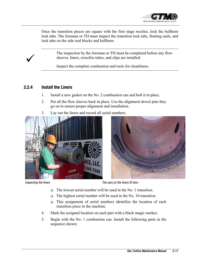

Once the transition pieces are square with the first stage nozzles, lock the bullhorn lock tabs. The foreman or TD must inspect the transition lock tabs, floating seals, and lock tabs on the side seal blocks and bullhorn.

> The inspection by the foreman or TD must be completed before any flow sleeves, liners, crossfire tubes, and clips are installed.

Inspect the complete combustion and tools for cleanliness.

# **2.2.4 Install the Liners**

- 1. Install a new gasket on the No. 2 combustion can and bolt it in place.
- 2. Put all the flow sleeves back in place. Use the alignment dowel pins they go on to ensure proper alignment and installation.
- 3. Lay out the liners and record all serial numbers.





*Inspecting the liners*  $\blacksquare$ 

- The lowest serial number will be used in the No. 1 transition.
- $\Box$  The highest serial number will be used in the No. 10 transition.
- This assignment of serial numbers identifies the location of each transition piece in the machine.
- 4. Mark the assigned location on each part with a black magic marker.
- 5. Begin with the No. 1 combustion can. Install the following parts in the sequence shown: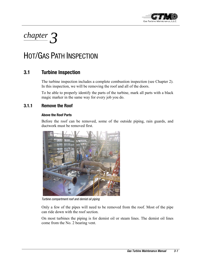

# *chapter 3*

# HOT/GAS PATH INSPECTION

# **3.1 Turbine Inspection**

The turbine inspection includes a complete combustion inspection (see Chapter 2). In this inspection, we will be removing the roof and all of the doors.

To be able to properly identify the parts of the turbine, mark all parts with a black magic marker in the same way for every job you do.

# **3.1.1 Remove the Roof**

### **Above the Roof Parts**

Before the roof can be removed, some of the outside piping, rain guards, and ductwork must be removed first.



*Turbine compartment roof and demist oil piping* 

Only a few of the pipes will need to be removed from the roof. Most of the pipe can ride down with the roof section.

On most turbines the piping is for demist oil or steam lines. The demist oil lines come from the No. 2 bearing vent.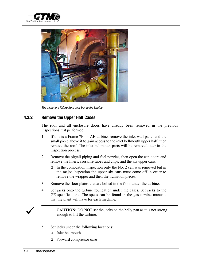



*The alignment fixture from gear box to the turbine* 

# **4.3.2 Remove the Upper Half Cases**

The roof and all enclosure doors have already been removed in the previous inspections just performed.

- 1. If this is a Frame 7E, or AE turbine, remove the inlet wall panel and the small piece above it to gain access to the inlet bellmouth upper half, then remove the roof. The inlet bellmouth parts will be removed later in the inspection process.
- 2. Remove the pigtail piping and fuel nozzles, then open the can doors and remove the liners, crossfire tubes and clips, and the six upper cans.
	- $\Box$  In the combustion inspection only the No. 2 can was removed but in the major inspection the upper six cans must come off in order to remove the wrapper and then the transition pieces.
- 3. Remove the floor plates that are bolted in the floor under the turbine.
- 4. Set jacks onto the turbine foundation under the cases. Set jacks to the GE specifications. The specs can be found in the gas turbine manuals that the plant will have for each machine.



**CAUTION:** DO NOT set the jacks on the belly pan as it is not strong enough to lift the turbine.

- 5. Set jacks under the following locations:
	- Inlet bellmouth
	- Forward compressor case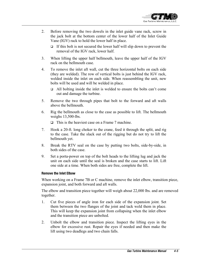

- 2. Before removing the two dowels in the inlet guide vane rack, screw in the jack bolt at the bottom center of the lower half of the Inlet Guide Vane (IGV) rack to hold the lower half in place.
	- $\Box$  If this bolt is not secured the lower half will slip down to prevent the removal of the IGV rack, lower half.
- 3. When lifting the upper half bellmouth, leave the upper half of the IGV rack on the bellmouth case.
- 4. To remove the inlet aft wall, cut the three horizontal bolts on each side (they are welded). The row of vertical bolts is just behind the IGV rack, welded inside the inlet on each side. When reassembling the unit, new bolts will be used and will be welded in place.
	- $\Box$  All bolting inside the inlet is welded to ensure the bolts can't come out and damage the turbine.
- 5. Remove the two through pipes that bolt to the forward and aft walls above the bellmouth.
- 6. Rig the bellmouth as close to the case as possible to lift. The bellmouth weighs 13,500-lbs.

 $\Box$  This is the heaviest case on a Frame 7 machine.

- 7. Hook a 20-ft. long choker to the crane, feed it through the split, and rig to the case. Take the slack out of the rigging but do not try to lift the bellmouth yet.
- 8. Break the RTV seal on the case by putting two bolts, side-by-side, in both sides of the case.
- 9. Set a porta-power on top of the bolt heads to the lifting lug and jack the unit on each side until the seal is broken and the case starts to lift. Lift one side at a time. When both sides are free, complete the lift.

### **Remove the Inlet Elbow**

When working on a Frame 7B or C machine, remove the inlet elbow, transition piece, expansion joint, and both forward and aft walls.

The elbow and transition piece together will weigh about 22,000 lbs. and are removed together.

- 1. Cut five pieces of angle iron for each side of the expansion joint. Set them between the two flanges of the joint and tack weld them in place. This will keep the expansion joint from collapsing when the inlet elbow and the transition piece are unbolted.
- 2. Unbolt the elbow and transition piece. Inspect the lifting eyes in the elbow for excessive rust. Repair the eyes if needed and then make the lift using two deadlegs and two chain falls.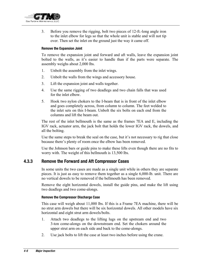

3. Before you remove the rigging, bolt two pieces of 12-ft.-long angle iron to the inlet elbow for legs so that the whole unit is stable and will not tip over. Then set the inlet on the ground just the way it came off.

#### **Remove the Expansion Joint**

To remove the expansion joint and forward and aft walls, leave the expansion joint bolted to the walls, as it's easier to handle than if the parts were separate. The assembly weighs about 2,000 lbs.

- 1. Unbolt the assembly from the inlet wings.
- 2. Unbolt the walls from the wings and accessory house.
- 3. Lift the expansion joint and walls together.
- 4. Use the same rigging of two deadlegs and two chain falls that was used for the inlet elbow.
- 5. Hook two nylon chokers to the I-beam that is in front of the inlet elbow and goes completely across, from column to column. The feet welded to the inlet sets on this I-beam. Unbolt the six bolts on each end from the columns and lift the beam out.

The rest of the inlet bellmouth is the same as the frames 7EA and E, including the IGV rack, actuator arm, the jack bolt that holds the lower IGV rack, the dowels, and all the bolting.

Use the same steps to break the seal on the case, but it's not necessary to rig that close because there's plenty of room once the elbow has been removed.

Use the Johnson bars or guide pins to make these lifts even though there are no fits to worry with. The weight of this bellmouth is 13,500 lbs.

## **4.3.3 Remove the Forward and Aft Compressor Cases**

In some units the two cases are made as a single unit while in others they are separate pieces. It is just as easy to remove them together as a single 6,000-lb. unit. There are no vertical dowels to be removed if the bellmouth has been removed.

Remove the eight horizontal dowels, install the guide pins, and make the lift using two deadlegs and two come-alongs.

#### **Remove the Compressor Discharge Case**

This case will weigh about 11,000 lbs. If this is a Frame 7EA machine, there will be no strut arm dowels but there will be six horizontal dowels. All other models have six horizontal and eight strut arm dowels/bolts.

- 1. Attach two deadlegs to the lifting lugs on the upstream end and two 3-ton come-alongs on the downstream end. Set the chokers around the upper strut arm on each side and back to the come-alongs.
- 2. Use jack bolts to lift the case at least two inches before using the crane.